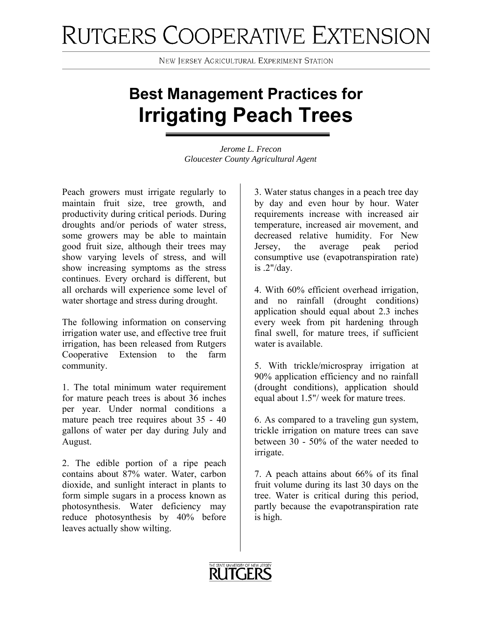## RUTGERS COOPERATIVE EXTENSION

**NEW JERSEY AGRICULTURAL EXPERIMENT STATION** 

## **Best Management Practices for Irrigating Peach Trees**

*Jerome L. Frecon Gloucester County Agricultural Agent* 

Peach growers must irrigate regularly to maintain fruit size, tree growth, and productivity during critical periods. During droughts and/or periods of water stress, some growers may be able to maintain good fruit size, although their trees may show varying levels of stress, and will show increasing symptoms as the stress continues. Every orchard is different, but all orchards will experience some level of water shortage and stress during drought.

The following information on conserving irrigation water use, and effective tree fruit irrigation, has been released from Rutgers Cooperative Extension to the farm community.

1. The total minimum water requirement for mature peach trees is about 36 inches per year. Under normal conditions a mature peach tree requires about 35 - 40 gallons of water per day during July and August.

2. The edible portion of a ripe peach contains about 87% water. Water, carbon dioxide, and sunlight interact in plants to form simple sugars in a process known as photosynthesis. Water deficiency may reduce photosynthesis by 40% before leaves actually show wilting.

3. Water status changes in a peach tree day by day and even hour by hour. Water requirements increase with increased air temperature, increased air movement, and decreased relative humidity. For New Jersey, the average peak period consumptive use (evapotranspiration rate) is .2"/day.

4. With 60% efficient overhead irrigation, and no rainfall (drought conditions) application should equal about 2.3 inches every week from pit hardening through final swell, for mature trees, if sufficient water is available.

5. With trickle/microspray irrigation at 90% application efficiency and no rainfall (drought conditions), application should equal about 1.5"/ week for mature trees.

6. As compared to a traveling gun system, trickle irrigation on mature trees can save between 30 - 50% of the water needed to irrigate.

7. A peach attains about 66% of its final fruit volume during its last 30 days on the tree. Water is critical during this period, partly because the evapotranspiration rate is high.